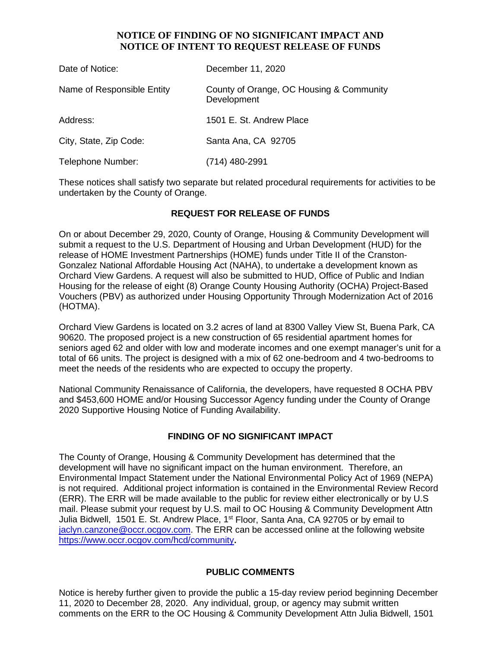### **NOTICE OF FINDING OF NO SIGNIFICANT IMPACT AND NOTICE OF INTENT TO REQUEST RELEASE OF FUNDS**

| Date of Notice:            | December 11, 2020                                       |
|----------------------------|---------------------------------------------------------|
| Name of Responsible Entity | County of Orange, OC Housing & Community<br>Development |
| Address:                   | 1501 E. St. Andrew Place                                |
| City, State, Zip Code:     | Santa Ana, CA 92705                                     |
| Telephone Number:          | (714) 480-2991                                          |

These notices shall satisfy two separate but related procedural requirements for activities to be undertaken by the County of Orange.

# **REQUEST FOR RELEASE OF FUNDS**

On or about December 29, 2020, County of Orange, Housing & Community Development will submit a request to the U.S. Department of Housing and Urban Development (HUD) for the release of HOME Investment Partnerships (HOME) funds under Title II of the Cranston-Gonzalez National Affordable Housing Act (NAHA), to undertake a development known as Orchard View Gardens. A request will also be submitted to HUD, Office of Public and Indian Housing for the release of eight (8) Orange County Housing Authority (OCHA) Project-Based Vouchers (PBV) as authorized under Housing Opportunity Through Modernization Act of 2016 (HOTMA).

Orchard View Gardens is located on 3.2 acres of land at 8300 Valley View St, Buena Park, CA 90620. The proposed project is a new construction of 65 residential apartment homes for seniors aged 62 and older with low and moderate incomes and one exempt manager's unit for a total of 66 units. The project is designed with a mix of 62 one-bedroom and 4 two-bedrooms to meet the needs of the residents who are expected to occupy the property.

National Community Renaissance of California, the developers, have requested 8 OCHA PBV and \$453,600 HOME and/or Housing Successor Agency funding under the County of Orange 2020 Supportive Housing Notice of Funding Availability.

#### **FINDING OF NO SIGNIFICANT IMPACT**

The County of Orange, Housing & Community Development has determined that the development will have no significant impact on the human environment. Therefore, an Environmental Impact Statement under the National Environmental Policy Act of 1969 (NEPA) is not required. Additional project information is contained in the Environmental Review Record (ERR). The ERR will be made available to the public for review either electronically or by U.S mail. Please submit your request by U.S. mail to OC Housing & Community Development Attn Julia Bidwell, 1501 E. St. Andrew Place, 1<sup>st</sup> Floor, Santa Ana, CA 92705 or by email to [jaclyn.canzone@occr.ocgov.com.](mailto:jaclyn.canzone@occr.ocgov.com) The ERR can be accessed online at the following website https://www.occr.ocgov.com/hcd/community**.**

#### **PUBLIC COMMENTS**

Notice is hereby further given to provide the public a 15-day review period beginning December 11, 2020 to December 28, 2020. Any individual, group, or agency may submit written comments on the ERR to the OC Housing & Community Development Attn Julia Bidwell, 1501